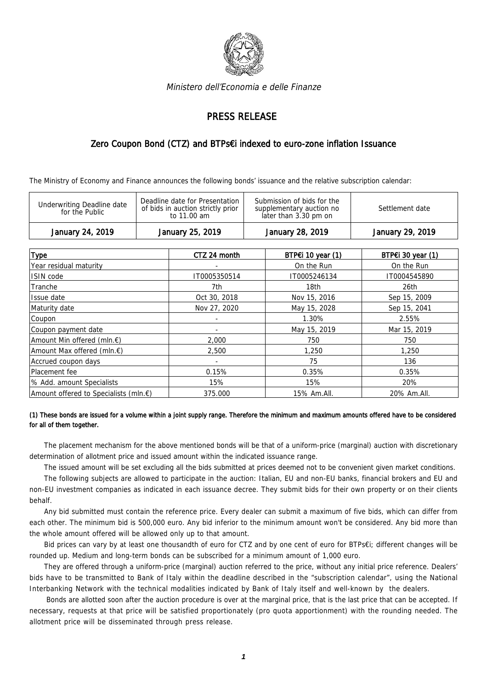

Ministero dell'Economia e delle Finanze

## PRESS RELEASE

## Zero Coupon Bond (CTZ) and BTPs€i indexed to euro-zone inflation Issuance

The Ministry of Economy and Finance announces the following bonds' issuance and the relative subscription calendar:

| Deadline date for Presentation<br>Submission of bids for the<br><b>Underwriting Deadline date</b><br>of bids in auction strictly prior<br>Settlement date<br>supplementary auction no<br>for the Public<br>later than 3.30 pm on<br>to 11.00 am | January 24, 2019 | January 25, 2019 | January 28, 2019 | January 29, 2019 |
|-------------------------------------------------------------------------------------------------------------------------------------------------------------------------------------------------------------------------------------------------|------------------|------------------|------------------|------------------|
|                                                                                                                                                                                                                                                 |                  |                  |                  |                  |

| <b>Type</b>                                         | CTZ 24 month | BTP€i 10 year (1) | BTP€i 30 year (1) |
|-----------------------------------------------------|--------------|-------------------|-------------------|
| Year residual maturity                              |              | On the Run        | On the Run        |
| ISIN code                                           | IT0005350514 | IT0005246134      | IT0004545890      |
| Tranche                                             | 7th          | 18th              | 26th              |
| Issue date                                          | Oct 30, 2018 | Nov 15, 2016      | Sep 15, 2009      |
| Maturity date                                       | Nov 27, 2020 | May 15, 2028      | Sep 15, 2041      |
| Coupon                                              |              | 1.30%             | 2.55%             |
| Coupon payment date                                 |              | May 15, 2019      | Mar 15, 2019      |
| Amount Min offered (mln.€)                          | 2,000        | 750               | 750               |
| Amount Max offered (mln. €)                         | 2,500        | 1,250             | 1,250             |
| Accrued coupon days                                 |              | 75                | 136               |
| Placement fee                                       | 0.15%        | 0.35%             | 0.35%             |
| % Add. amount Specialists                           | 15%          | 15%               | 20%               |
| Amount offered to Specialists (mln. $\varepsilon$ ) | 375.000      | 15% Am.All.       | 20% Am.All.       |

## (1) These bonds are issued for a volume within a joint supply range. Therefore the minimum and maximum amounts offered have to be considered for all of them together.

The placement mechanism for the above mentioned bonds will be that of a uniform-price (marginal) auction with discretionary determination of allotment price and issued amount within the indicated issuance range.

The issued amount will be set excluding all the bids submitted at prices deemed not to be convenient given market conditions.

The following subjects are allowed to participate in the auction: Italian, EU and non-EU banks, financial brokers and EU and non-EU investment companies as indicated in each issuance decree. They submit bids for their own property or on their clients behalf.

Any bid submitted must contain the reference price. Every dealer can submit a maximum of five bids, which can differ from each other. The minimum bid is 500,000 euro. Any bid inferior to the minimum amount won't be considered. Any bid more than the whole amount offered will be allowed only up to that amount.

Bid prices can vary by at least one thousandth of euro for CTZ and by one cent of euro for BTPs€i; different changes will be rounded up. Medium and long-term bonds can be subscribed for a minimum amount of 1,000 euro.

They are offered through a uniform-price (marginal) auction referred to the price, without any initial price reference. Dealers' bids have to be transmitted to Bank of Italy within the deadline described in the "subscription calendar", using the National Interbanking Network with the technical modalities indicated by Bank of Italy itself and well-known by the dealers.

 Bonds are allotted soon after the auction procedure is over at the marginal price, that is the last price that can be accepted. If necessary, requests at that price will be satisfied proportionately (pro quota apportionment) with the rounding needed. The allotment price will be disseminated through press release.